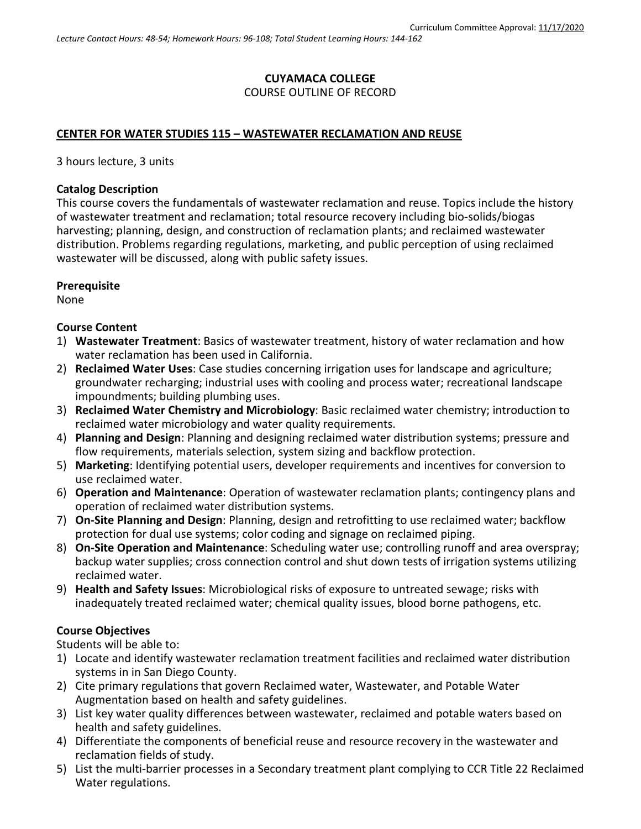# **CUYAMACA COLLEGE** COURSE OUTLINE OF RECORD

#### **CENTER FOR WATER STUDIES 115 – WASTEWATER RECLAMATION AND REUSE**

3 hours lecture, 3 units

#### **Catalog Description**

This course covers the fundamentals of wastewater reclamation and reuse. Topics include the history of wastewater treatment and reclamation; total resource recovery including bio-solids/biogas harvesting; planning, design, and construction of reclamation plants; and reclaimed wastewater distribution. Problems regarding regulations, marketing, and public perception of using reclaimed wastewater will be discussed, along with public safety issues.

#### **Prerequisite**

None

### **Course Content**

- 1) **Wastewater Treatment**: Basics of wastewater treatment, history of water reclamation and how water reclamation has been used in California.
- 2) **Reclaimed Water Uses**: Case studies concerning irrigation uses for landscape and agriculture; groundwater recharging; industrial uses with cooling and process water; recreational landscape impoundments; building plumbing uses.
- 3) **Reclaimed Water Chemistry and Microbiology**: Basic reclaimed water chemistry; introduction to reclaimed water microbiology and water quality requirements.
- 4) **Planning and Design**: Planning and designing reclaimed water distribution systems; pressure and flow requirements, materials selection, system sizing and backflow protection.
- 5) **Marketing**: Identifying potential users, developer requirements and incentives for conversion to use reclaimed water.
- 6) **Operation and Maintenance**: Operation of wastewater reclamation plants; contingency plans and operation of reclaimed water distribution systems.
- 7) **On-Site Planning and Design**: Planning, design and retrofitting to use reclaimed water; backflow protection for dual use systems; color coding and signage on reclaimed piping.
- 8) **On-Site Operation and Maintenance**: Scheduling water use; controlling runoff and area overspray; backup water supplies; cross connection control and shut down tests of irrigation systems utilizing reclaimed water.
- 9) **Health and Safety Issues**: Microbiological risks of exposure to untreated sewage; risks with inadequately treated reclaimed water; chemical quality issues, blood borne pathogens, etc.

### **Course Objectives**

Students will be able to:

- 1) Locate and identify wastewater reclamation treatment facilities and reclaimed water distribution systems in in San Diego County.
- 2) Cite primary regulations that govern Reclaimed water, Wastewater, and Potable Water Augmentation based on health and safety guidelines.
- 3) List key water quality differences between wastewater, reclaimed and potable waters based on health and safety guidelines.
- 4) Differentiate the components of beneficial reuse and resource recovery in the wastewater and reclamation fields of study.
- 5) List the multi-barrier processes in a Secondary treatment plant complying to CCR Title 22 Reclaimed Water regulations.